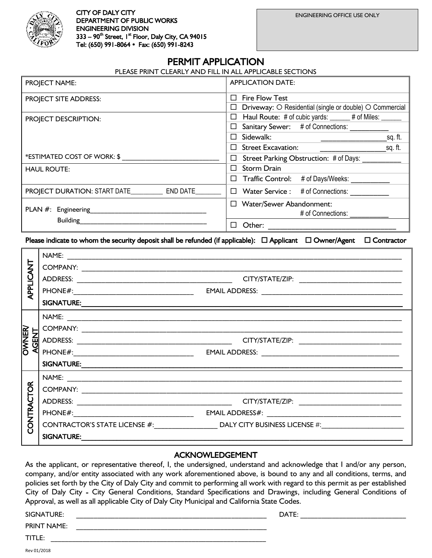

# PERMIT APPLICATION

| PROJECT NAME:                                   | <b>APPLICATION DATE:</b>                                       |  |
|-------------------------------------------------|----------------------------------------------------------------|--|
| <b>PROJECT SITE ADDRESS:</b>                    | <b>Fire Flow Test</b><br>П                                     |  |
|                                                 | Driveway: O Residential (single or double) O Commercial        |  |
| PROJECT DESCRIPTION:                            | Haul Route: # of cubic yards: _____ # of Miles: ____<br>$\Box$ |  |
|                                                 | Sanitary Sewer: # of Connections:                              |  |
|                                                 | Sidewalk:<br>sq. ft.                                           |  |
|                                                 | <b>Street Excavation:</b><br>sq. ft.                           |  |
| *ESTIMATED COST OF WORK: \$                     | Street Parking Obstruction: # of Days:<br>$\Box$               |  |
| <b>HAUL ROUTE:</b>                              | <b>Storm Drain</b><br>П                                        |  |
|                                                 | # of Days/Weeks:<br>Traffic Control:                           |  |
| <b>PROJECT DURATION: START DATE</b><br>END DATE | Water Service : # of Connections:<br>$\Box$                    |  |
|                                                 | Water/Sewer Abandonment:<br>□                                  |  |
| PLAN $#$ : Engineering                          | # of Connections:                                              |  |
| <b>Building</b>                                 | Other:                                                         |  |

Please indicate to whom the security deposit shall be refunded (if applicable):  $\Box$  Applicant  $\Box$  Owner/Agent  $\Box$  Contractor

| APPLICANT                    |                   |                                                                                                                      |
|------------------------------|-------------------|----------------------------------------------------------------------------------------------------------------------|
|                              |                   |                                                                                                                      |
|                              |                   |                                                                                                                      |
|                              |                   |                                                                                                                      |
| <b>AJAMKC</b><br><b>GENT</b> |                   |                                                                                                                      |
|                              |                   |                                                                                                                      |
|                              |                   |                                                                                                                      |
|                              |                   |                                                                                                                      |
|                              |                   |                                                                                                                      |
| <b>CONTRACTOR</b>            |                   |                                                                                                                      |
|                              |                   |                                                                                                                      |
|                              |                   |                                                                                                                      |
|                              |                   |                                                                                                                      |
|                              |                   | CONTRACTOR'S STATE LICENSE #:__________________________________DALY CITY BUSINESS LICENSE #:________________________ |
|                              | <b>SIGNATURE:</b> |                                                                                                                      |

### ACKNOWLEDGEMENT

As the applicant, or representative thereof, I, the undersigned, understand and acknowledge that I and/or any person, company, and/or entity associated with any work aforementioned above, is bound to any and all conditions, terms, and policies set forth by the City of Daly City and commit to performing all work with regard to this permit as per established City of Daly City - City General Conditions, Standard Specifications and Drawings, including General Conditions of Approval, as well as all applicable City of Daly City Municipal and California State Codes.

PRINT NAME: \_\_\_\_\_\_\_\_\_\_\_\_\_\_\_\_\_\_\_\_\_\_\_\_\_\_\_\_\_\_\_\_\_\_\_\_\_\_\_\_\_\_\_\_\_\_\_\_\_\_\_\_\_\_

TITLE:  $\blacksquare$ 

SIGNATURE: \_\_\_\_\_\_\_\_\_\_\_\_\_\_\_\_\_\_\_\_\_\_\_\_\_\_\_\_\_\_\_\_\_\_\_\_\_\_\_\_\_\_\_\_\_\_\_\_\_\_\_\_\_\_ DATE: \_\_\_\_\_\_\_\_\_\_\_\_\_\_\_\_\_\_\_\_\_\_\_\_\_\_\_\_\_\_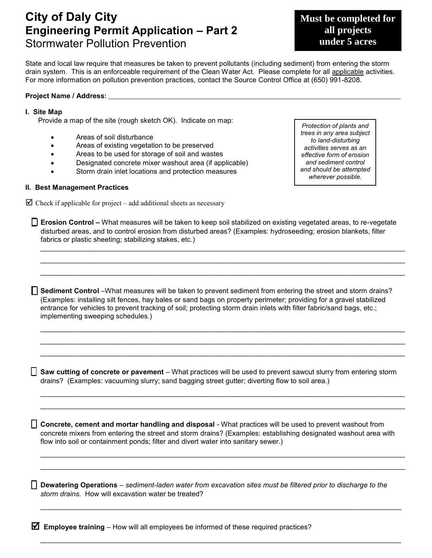# **City of Daly City Engineering Permit Application – Part 2**  Stormwater Pollution Prevention

**Must be completed for all projects under 5 acres**

State and local law require that measures be taken to prevent pollutants (including sediment) from entering the storm drain system. This is an enforceable requirement of the Clean Water Act. Please complete for all applicable activities. For more information on pollution prevention practices, contact the Source Control Office at (650) 991-8208.

#### Project Name / Address: \_\_\_\_

#### **I. Site Map**

Provide a map of the site (rough sketch OK). Indicate on map:

- Areas of soil disturbance
- Areas of existing vegetation to be preserved
- Areas to be used for storage of soil and wastes
- Designated concrete mixer washout area (if applicable)
- Storm drain inlet locations and protection measures

#### **II. Best Management Practices**

 $\triangleright$  Check if applicable for project – add additional sheets as necessary

*Protection of plants and trees in any area subject to land-disturbing activities serves as an effective form of erosion and sediment control and should be attempted wherever possible.*

 **Erosion Control –** What measures will be taken to keep soil stabilized on existing vegetated areas, to re-vegetate disturbed areas, and to control erosion from disturbed areas? (Examples: hydroseeding; erosion blankets, filter fabrics or plastic sheeting; stabilizing stakes, etc.)

\_\_\_\_\_\_\_\_\_\_\_\_\_\_\_\_\_\_\_\_\_\_\_\_\_\_\_\_\_\_\_\_\_\_\_\_\_\_\_\_\_\_\_\_\_\_\_\_\_\_\_\_\_\_\_\_\_\_\_\_\_\_\_\_\_\_\_\_\_\_\_\_\_\_\_\_\_\_\_\_\_\_\_\_\_\_\_\_\_\_\_\_\_ \_\_\_\_\_\_\_\_\_\_\_\_\_\_\_\_\_\_\_\_\_\_\_\_\_\_\_\_\_\_\_\_\_\_\_\_\_\_\_\_\_\_\_\_\_\_\_\_\_\_\_\_\_\_\_\_\_\_\_\_\_\_\_\_\_\_\_\_\_\_\_\_\_\_\_\_\_\_\_\_\_\_\_\_\_\_\_\_\_\_\_\_\_ \_\_\_\_\_\_\_\_\_\_\_\_\_\_\_\_\_\_\_\_\_\_\_\_\_\_\_\_\_\_\_\_\_\_\_\_\_\_\_\_\_\_\_\_\_\_\_\_\_\_\_\_\_\_\_\_\_\_\_\_\_\_\_\_\_\_\_\_\_\_\_\_\_\_\_\_\_\_\_\_\_\_\_\_\_\_\_\_\_\_\_\_\_

 **Sediment Control** –What measures will be taken to prevent sediment from entering the street and storm drains? (Examples: installing silt fences, hay bales or sand bags on property perimeter; providing for a gravel stabilized entrance for vehicles to prevent tracking of soil; protecting storm drain inlets with filter fabric/sand bags, etc.; implementing sweeping schedules.)

\_\_\_\_\_\_\_\_\_\_\_\_\_\_\_\_\_\_\_\_\_\_\_\_\_\_\_\_\_\_\_\_\_\_\_\_\_\_\_\_\_\_\_\_\_\_\_\_\_\_\_\_\_\_\_\_\_\_\_\_\_\_\_\_\_\_\_\_\_\_\_\_\_\_\_\_\_\_\_\_\_\_\_\_\_\_\_\_\_\_\_\_\_ \_\_\_\_\_\_\_\_\_\_\_\_\_\_\_\_\_\_\_\_\_\_\_\_\_\_\_\_\_\_\_\_\_\_\_\_\_\_\_\_\_\_\_\_\_\_\_\_\_\_\_\_\_\_\_\_\_\_\_\_\_\_\_\_\_\_\_\_\_\_\_\_\_\_\_\_\_\_\_\_\_\_\_\_\_\_\_\_\_\_\_\_\_  $\_$  , and the set of the set of the set of the set of the set of the set of the set of the set of the set of the set of the set of the set of the set of the set of the set of the set of the set of the set of the set of th

 **Saw cutting of concrete or pavement** *–* What practices will be used to prevent sawcut slurry from entering storm drains? (Examples: vacuuming slurry; sand bagging street gutter; diverting flow to soil area.)

\_\_\_\_\_\_\_\_\_\_\_\_\_\_\_\_\_\_\_\_\_\_\_\_\_\_\_\_\_\_\_\_\_\_\_\_\_\_\_\_\_\_\_\_\_\_\_\_\_\_\_\_\_\_\_\_\_\_\_\_\_\_\_\_\_\_\_\_\_\_\_\_\_\_\_\_\_\_\_\_\_\_\_\_\_\_\_\_\_\_\_\_\_ \_\_\_\_\_\_\_\_\_\_\_\_\_\_\_\_\_\_\_\_\_\_\_\_\_\_\_\_\_\_\_\_\_\_\_\_\_\_\_\_\_\_\_\_\_\_\_\_\_\_\_\_\_\_\_\_\_\_\_\_\_\_\_\_\_\_\_\_\_\_\_\_\_\_\_\_\_\_\_\_\_\_\_\_\_\_\_\_\_\_\_\_\_

 **Concrete, cement and mortar handling and disposal** - What practices will be used to prevent washout from concrete mixers from entering the street and storm drains? (Examples: establishing designated washout area with flow into soil or containment ponds; filter and divert water into sanitary sewer.)

\_\_\_\_\_\_\_\_\_\_\_\_\_\_\_\_\_\_\_\_\_\_\_\_\_\_\_\_\_\_\_\_\_\_\_\_\_\_\_\_\_\_\_\_\_\_\_\_\_\_\_\_\_\_\_\_\_\_\_\_\_\_\_\_\_\_\_\_\_\_\_\_\_\_\_\_\_\_\_\_\_\_\_\_\_\_\_\_\_\_\_\_\_ \_\_\_\_\_\_\_\_\_\_\_\_\_\_\_\_\_\_\_\_\_\_\_\_\_\_\_\_\_\_\_\_\_\_\_\_\_\_\_\_\_\_\_\_\_\_\_\_\_\_\_\_\_\_\_\_\_\_\_\_\_\_\_\_\_\_\_\_\_\_\_\_\_\_\_\_\_\_\_\_\_\_\_\_\_\_\_\_\_\_\_\_\_

\_\_\_\_\_\_\_\_\_\_\_\_\_\_\_\_\_\_\_\_\_\_\_\_\_\_\_\_\_\_\_\_\_\_\_\_\_\_\_\_\_\_\_\_\_\_\_\_\_\_\_\_\_\_\_\_\_\_\_\_\_\_\_\_\_\_\_\_\_\_\_\_\_\_\_\_\_\_\_\_\_\_\_\_\_\_\_\_\_\_\_\_

\_\_\_\_\_\_\_\_\_\_\_\_\_\_\_\_\_\_\_\_\_\_\_\_\_\_\_\_\_\_\_\_\_\_\_\_\_\_\_\_\_\_\_\_\_\_\_\_\_\_\_\_\_\_\_\_\_\_\_\_\_\_\_\_\_\_\_\_\_\_\_\_\_\_\_\_\_\_\_\_\_\_\_\_\_\_\_\_\_\_\_\_

 **Dewatering Operations** – *sediment-laden water from excavation sites must be filtered prior to discharge to the storm drains.* How will excavation water be treated?

**Employee training** – How will all employees be informed of these required practices?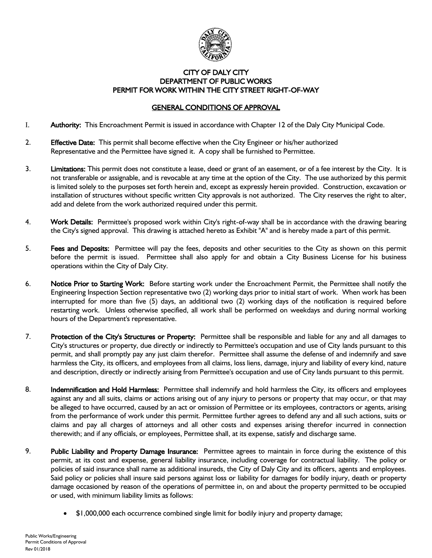

## CITY OF DALY CITY DEPARTMENT OF PUBLIC WORKS PERMIT FOR WORK WITHIN THE CITY STREET RIGHT-OF-WAY

# GENERAL CONDITIONS OF APPROVAL

- I. **Authority:** This Encroachment Permit is issued in accordance with Chapter 12 of the Daly City Municipal Code.
- 2. **Effective Date:** This permit shall become effective when the City Engineer or his/her authorized Representative and the Permittee have signed it. A copy shall be furnished to Permittee.
- 3. Limitations: This permit does not constitute a lease, deed or grant of an easement, or of a fee interest by the City. It is not transferable or assignable, and is revocable at any time at the option of the City. The use authorized by this permit is limited solely to the purposes set forth herein and, except as expressly herein provided. Construction, excavation or installation of structures without specific written City approvals is not authorized. The City reserves the right to alter, add and delete from the work authorized required under this permit.
- 4. Work Details: Permittee's proposed work within City's right-of-way shall be in accordance with the drawing bearing the City's signed approval. This drawing is attached hereto as Exhibit "A" and is hereby made a part of this permit.
- 5. Fees and Deposits: Permittee will pay the fees, deposits and other securities to the City as shown on this permit before the permit is issued. Permittee shall also apply for and obtain a City Business License for his business operations within the City of Daly City.
- 6. Notice Prior to Starting Work: Before starting work under the Encroachment Permit, the Permittee shall notify the Engineering Inspection Section representative two (2) working days prior to initial start of work. When work has been interrupted for more than five (5) days, an additional two (2) working days of the notification is required before restarting work. Unless otherwise specified, all work shall be performed on weekdays and during normal working hours of the Department's representative.
- 7. Protection of the City's Structures or Property: Permittee shall be responsible and liable for any and all damages to City's structures or property, due directly or indirectly to Permittee's occupation and use of City lands pursuant to this permit, and shall promptly pay any just claim therefor. Permittee shall assume the defense of and indemnify and save harmless the City, its officers, and employees from all claims, loss liens, damage, injury and liability of every kind, nature and description, directly or indirectly arising from Permittee's occupation and use of City lands pursuant to this permit.
- 8. Indemnification and Hold Harmless: Permittee shall indemnify and hold harmless the City, its officers and employees against any and all suits, claims or actions arising out of any injury to persons or property that may occur, or that may be alleged to have occurred, caused by an act or omission of Permittee or its employees, contractors or agents, arising from the performance of work under this permit. Permittee further agrees to defend any and all such actions, suits or claims and pay all charges of attorneys and all other costs and expenses arising therefor incurred in connection therewith; and if any officials, or employees, Permittee shall, at its expense, satisfy and discharge same.
- 9. Public Liability and Property Damage Insurance: Permittee agrees to maintain in force during the existence of this permit, at its cost and expense, general liability insurance, including coverage for contractual liability. The policy or policies of said insurance shall name as additional insureds, the City of Daly City and its officers, agents and employees. Said policy or policies shall insure said persons against loss or liability for damages for bodily injury, death or property damage occasioned by reason of the operations of permittee in, on and about the property permitted to be occupied or used, with minimum liability limits as follows:
	- \$1,000,000 each occurrence combined single limit for bodily injury and property damage;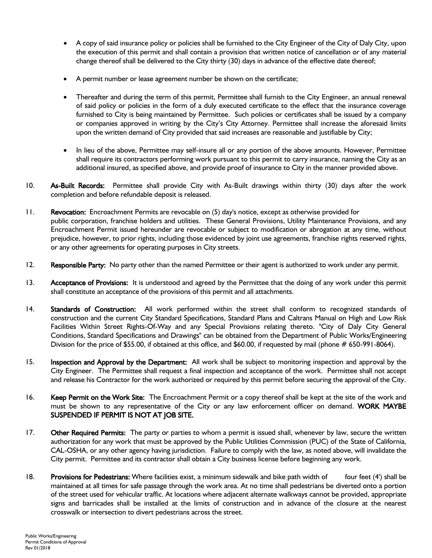- A copy of said insurance policy or policies shall be furnished to the City Engineer of the City of Daly City, upon the execution of this permit and shall contain a provision that written notice of cancellation or of any material change thereof shall be delivered to the City thirty (30) days in advance of the effective date thereof;
- A permit number or lease agreement number be shown on the certificate;
- Thereafter and during the term of this permit, Permittee shall furnish to the City Engineer, an annual renewal of said policy or policies in the form of a duly executed certificate to the effect that the insurance coverage furnished to City is being maintained by Permittee. Such policies or certificates shall be issued by a company or companies approved in writing by the City's City Attorney. Permittee shall increase the aforesaid limits upon the written demand of City provided that said increases are reasonable and justifiable by City;
- In lieu of the above, Permittee may self-insure all or any portion of the above amounts. However, Permittee shall require its contractors performing work pursuant to this permit to carry insurance, naming the City as an additional insured, as specified above, and provide proof of insurance to City in the manner provided above.
- 10. As-Built Records: Permittee shall provide City with As-Built drawings within thirty (30) days after the work completion and before refundable deposit is released.
- 11. Revocation: Encroachment Permits are revocable on (5) day's notice, except as otherwise provided for public corporation, franchise holders and utilities. These General Provisions, Utility Maintenance Provisions, and any Encroachment Permit issued hereunder are revocable or subject to modification or abrogation at any time, without prejudice, however, to prior rights, including those evidenced by joint use agreements, franchise rights reserved rights, or any other agreements for operating purposes in City streets.
- 12. Responsible Party: No party other than the named Permittee or their agent is authorized to work under any permit.
- 13. Acceptance of Provisions: It is understood and agreed by the Permittee that the doing of any work under this permit shall constitute an acceptance of the provisions of this permit and all attachments.
- 14. Standards of Construction: All work performed within the street shall conform to recognized standards of construction and the current City Standard Specifications, Standard Plans and Caltrans Manual on High and Low Risk Facilities Within Street Rights-Of-Way and any Special Provisions relating thereto. "City of Daly City General Conditions, Standard Specifications and Drawings" can be obtained from the Department of Public Works/Engineering Division for the price of \$55.00, if obtained at this office, and \$60.00, if requested by mail (phone # 650-991-8064).
- 15. **Inspection and Approval by the Department:** All work shall be subject to monitoring inspection and approval by the City Engineer. The Permittee shall request a final inspection and acceptance of the work. Permittee shall not accept and release his Contractor for the work authorized or required by this permit before securing the approval of the City.
- 16. Keep Permit on the Work Site: The Encroachment Permit or a copy thereof shall be kept at the site of the work and must be shown to any representative of the City or any law enforcement officer on demand. WORK MAYBE SUSPENDED IF PERMIT IS NOT AT JOB SITE.
- 17. Other Required Permits: The party or parties to whom a permit is issued shall, whenever by law, secure the written authorization for any work that must be approved by the Public Utilities Commission (PUC) of the State of California, CAL-OSHA, or any other agency having jurisdiction. Failure to comply with the law, as noted above, will invalidate the City permit. Permittee and its contractor shall obtain a City business license before beginning any work.
- 18. Provisions for Pedestrians: Where facilities exist, a minimum sidewalk and bike path width of four feet (4') shall be maintained at all times for safe passage through the work area. At no time shall pedestrians be diverted onto a portion of the street used for vehicular traffic. At locations where adjacent alternate walkways cannot be provided, appropriate signs and barricades shall be installed at the limits of construction and in advance of the closure at the nearest crosswalk or intersection to divert pedestrians across the street.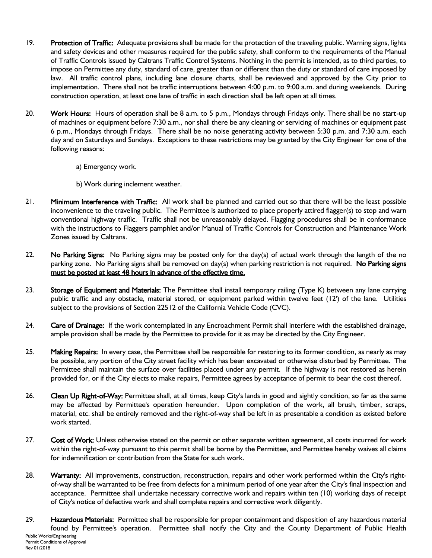- 19. Protection of Traffic: Adequate provisions shall be made for the protection of the traveling public. Warning signs, lights and safety devices and other measures required for the public safety, shall conform to the requirements of the Manual of Traffic Controls issued by Caltrans Traffic Control Systems. Nothing in the permit is intended, as to third parties, to impose on Permittee any duty, standard of care, greater than or different than the duty or standard of care imposed by law. All traffic control plans, including lane closure charts, shall be reviewed and approved by the City prior to implementation. There shall not be traffic interruptions between 4:00 p.m. to 9:00 a.m. and during weekends. During construction operation, at least one lane of traffic in each direction shall be left open at all times.
- 20. Work Hours: Hours of operation shall be 8 a.m. to 5 p.m., Mondays through Fridays only. There shall be no start-up of machines or equipment before 7:30 a.m., nor shall there be any cleaning or servicing of machines or equipment past 6 p.m., Mondays through Fridays. There shall be no noise generating activity between 5:30 p.m. and 7:30 a.m. each day and on Saturdays and Sundays. Exceptions to these restrictions may be granted by the City Engineer for one of the following reasons:
	- a) Emergency work.
	- b) Work during inclement weather.
- 21. Minimum Interference with Traffic: All work shall be planned and carried out so that there will be the least possible inconvenience to the traveling public. The Permittee is authorized to place properly attired flagger(s) to stop and warn conventional highway traffic. Traffic shall not be unreasonably delayed. Flagging procedures shall be in conformance with the instructions to Flaggers pamphlet and/or Manual of Traffic Controls for Construction and Maintenance Work Zones issued by Caltrans.
- 22. No Parking Signs: No Parking signs may be posted only for the day(s) of actual work through the length of the no parking zone. No Parking signs shall be removed on day(s) when parking restriction is not required. No Parking signs must be posted at least 48 hours in advance of the effective time.
- 23. Storage of Equipment and Materials: The Permittee shall install temporary railing (Type K) between any lane carrying public traffic and any obstacle, material stored, or equipment parked within twelve feet (12') of the lane. Utilities subject to the provisions of Section 22512 of the California Vehicle Code (CVC).
- 24. Care of Drainage: If the work contemplated in any Encroachment Permit shall interfere with the established drainage, ample provision shall be made by the Permittee to provide for it as may be directed by the City Engineer.
- 25. Making Repairs: In every case, the Permittee shall be responsible for restoring to its former condition, as nearly as may be possible, any portion of the City street facility which has been excavated or otherwise disturbed by Permittee. The Permittee shall maintain the surface over facilities placed under any permit. If the highway is not restored as herein provided for, or if the City elects to make repairs, Permittee agrees by acceptance of permit to bear the cost thereof.
- 26. Clean Up Right-of-Way: Permittee shall, at all times, keep City's lands in good and sightly condition, so far as the same may be affected by Permittee's operation hereunder. Upon completion of the work, all brush, timber, scraps, material, etc. shall be entirely removed and the right-of-way shall be left in as presentable a condition as existed before work started.
- 27. Cost of Work: Unless otherwise stated on the permit or other separate written agreement, all costs incurred for work within the right-of-way pursuant to this permit shall be borne by the Permittee, and Permittee hereby waives all claims for indemnification or contribution from the State for such work.
- 28. Warranty: All improvements, construction, reconstruction, repairs and other work performed within the City's rightof-way shall be warranted to be free from defects for a minimum period of one year after the City's final inspection and acceptance. Permittee shall undertake necessary corrective work and repairs within ten (10) working days of receipt of City's notice of defective work and shall complete repairs and corrective work diligently.
- Public Works/Engineering Permit Conditions of Approval Rev 01/2018 29. Hazardous Materials: Permittee shall be responsible for proper containment and disposition of any hazardous material found by Permittee's operation. Permittee shall notify the City and the County Department of Public Health